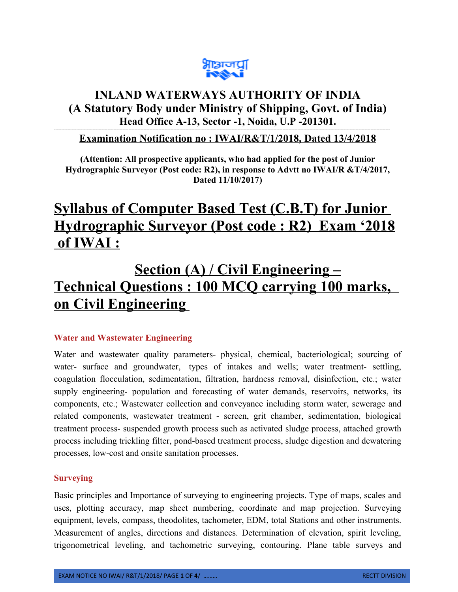

# **INLAND WATERWAYS AUTHORITY OF INDIA (A Statutory Body under Ministry of Shipping, Govt. of India) Head Office A-13, Sector -1, Noida, U.P -201301.**

## **Examination Notification no : IWAI/R&T/1/2018, Dated 13/4/2018**

**---------------------------------------------------------------------------------------------------------------------------------------------------------------------------------------------------------------------------------**

**(Attention: All prospective applicants, who had applied for the post of Junior Hydrographic Surveyor (Post code: R2), in response to Advtt no IWAI/R &T/4/2017, Dated 11/10/2017)**

# **Syllabus of Computer Based Test (C.B.T) for Junior Hydrographic Surveyor (Post code : R2) Exam '2018 of IWAI :**

# **Section (A) / Civil Engineering – Technical Questions : 100 MCQ carrying 100 marks, on Civil Engineering**

### **Water and Wastewater Engineering**

Water and wastewater quality parameters- physical, chemical, bacteriological; sourcing of water- surface and groundwater, types of intakes and wells; water treatment- settling, coagulation flocculation, sedimentation, filtration, hardness removal, disinfection, etc.; water supply engineering- population and forecasting of water demands, reservoirs, networks, its components, etc.; Wastewater collection and conveyance including storm water, sewerage and related components, wastewater treatment - screen, grit chamber, sedimentation, biological treatment process- suspended growth process such as activated sludge process, attached growth process including trickling filter, pond-based treatment process, sludge digestion and dewatering processes, low-cost and onsite sanitation processes.

### **Surveying**

Basic principles and Importance of surveying to engineering projects. Type of maps, scales and uses, plotting accuracy, map sheet numbering, coordinate and map projection. Surveying equipment, levels, compass, theodolites, tachometer, EDM, total Stations and other instruments. Measurement of angles, directions and distances. Determination of elevation, spirit leveling, trigonometrical leveling, and tachometric surveying, contouring. Plane table surveys and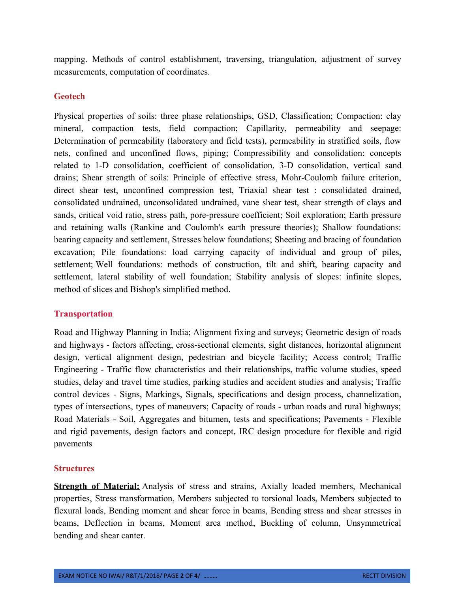mapping. Methods of control establishment, traversing, triangulation, adjustment of survey measurements, computation of coordinates.

#### **Geotech**

Physical properties of soils: three phase relationships, GSD, Classification; Compaction: clay mineral, compaction tests, field compaction; Capillarity, permeability and seepage: Determination of permeability (laboratory and field tests), permeability in stratified soils, flow nets, confined and unconfined flows, piping; Compressibility and consolidation: concepts related to 1-D consolidation, coefficient of consolidation, 3-D consolidation, vertical sand drains; Shear strength of soils: Principle of effective stress, Mohr-Coulomb failure criterion, direct shear test, unconfined compression test, Triaxial shear test : consolidated drained, consolidated undrained, unconsolidated undrained, vane shear test, shear strength of clays and sands, critical void ratio, stress path, pore-pressure coefficient; Soil exploration; Earth pressure and retaining walls (Rankine and Coulomb's earth pressure theories); Shallow foundations: bearing capacity and settlement, Stresses below foundations; Sheeting and bracing of foundation excavation; Pile foundations: load carrying capacity of individual and group of piles, settlement; Well foundations: methods of construction, tilt and shift, bearing capacity and settlement, lateral stability of well foundation; Stability analysis of slopes: infinite slopes, method of slices and Bishop's simplified method.

#### **Transportation**

Road and Highway Planning in India; Alignment fixing and surveys; Geometric design of roads and highways - factors affecting, cross-sectional elements, sight distances, horizontal alignment design, vertical alignment design, pedestrian and bicycle facility; Access control; Traffic Engineering - Traffic flow characteristics and their relationships, traffic volume studies, speed studies, delay and travel time studies, parking studies and accident studies and analysis; Traffic control devices - Signs, Markings, Signals, specifications and design process, channelization, types of intersections, types of maneuvers; Capacity of roads - urban roads and rural highways; Road Materials - Soil, Aggregates and bitumen, tests and specifications; Pavements - Flexible and rigid pavements, design factors and concept, IRC design procedure for flexible and rigid pavements

#### **Structures**

**Strength of Material:** Analysis of stress and strains, Axially loaded members, Mechanical properties, Stress transformation, Members subjected to torsional loads, Members subjected to flexural loads, Bending moment and shear force in beams, Bending stress and shear stresses in beams, Deflection in beams, Moment area method, Buckling of column, Unsymmetrical bending and shear canter.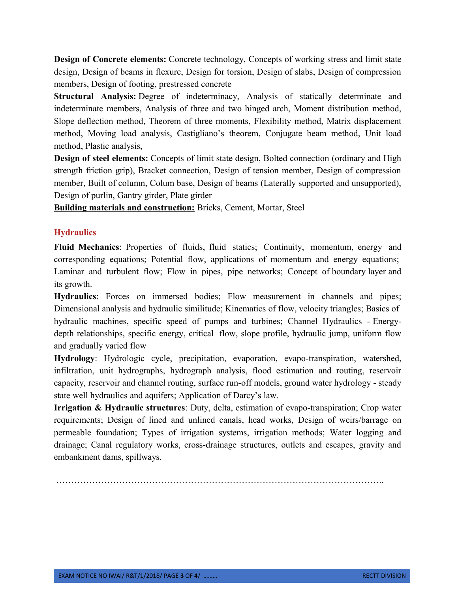**Design of Concrete elements:** Concrete technology, Concepts of working stress and limit state design, Design of beams in flexure, Design for torsion, Design of slabs, Design of compression members, Design of footing, prestressed concrete

**Structural Analysis:** Degree of indeterminacy, Analysis of statically determinate and indeterminate members, Analysis of three and two hinged arch, Moment distribution method, Slope deflection method, Theorem of three moments, Flexibility method, Matrix displacement method, Moving load analysis, Castigliano's theorem, Conjugate beam method, Unit load method, Plastic analysis,

**Design of steel elements:** Concepts of limit state design, Bolted connection (ordinary and High strength friction grip), Bracket connection, Design of tension member, Design of compression member, Built of column, Colum base, Design of beams (Laterally supported and unsupported), Design of purlin, Gantry girder, Plate girder

**Building materials and construction:** Bricks, Cement, Mortar, Steel

### **Hydraulics**

**Fluid Mechanics**: Properties of fluids, fluid statics; Continuity, momentum, energy and corresponding equations; Potential flow, applications of momentum and energy equations; Laminar and turbulent flow; Flow in pipes, pipe networks; Concept of boundary layer and its growth.

**Hydraulics**: Forces on immersed bodies; Flow measurement in channels and pipes; Dimensional analysis and hydraulic similitude; Kinematics of flow, velocity triangles; Basics of hydraulic machines, specific speed of pumps and turbines; Channel Hydraulics - Energydepth relationships, specific energy, critical flow, slope profile, hydraulic jump, uniform flow and gradually varied flow

**Hydrology**: Hydrologic cycle, precipitation, evaporation, evapo-transpiration, watershed, infiltration, unit hydrographs, hydrograph analysis, flood estimation and routing, reservoir capacity, reservoir and channel routing, surface run-off models, ground water hydrology - steady state well hydraulics and aquifers; Application of Darcy's law.

**Irrigation & Hydraulic structures**: Duty, delta, estimation of evapo-transpiration; Crop water requirements; Design of lined and unlined canals, head works, Design of weirs/barrage on permeable foundation; Types of irrigation systems, irrigation methods; Water logging and drainage; Canal regulatory works, cross-drainage structures, outlets and escapes, gravity and embankment dams, spillways.

………………………………………………………………………………………………..